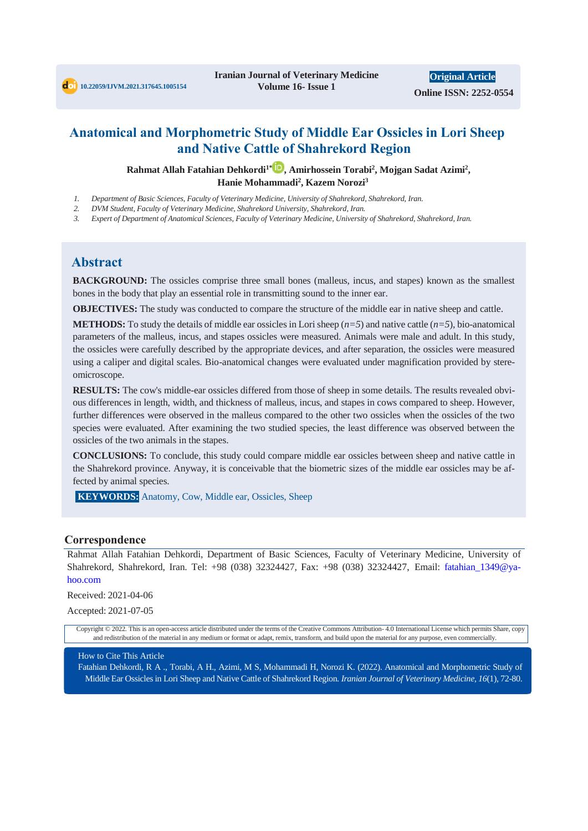# **Anatomical and Morphometric Study of Middle Ear Ossicles in Lori Sheep and Native Cattle of Shahrekord Region**

**Rahmat Allah Fatahian Dehkordi1\* , Amirhossein Torabi<sup>2</sup> , Mojgan Sadat Azimi<sup>2</sup> , Hanie Mohammadi<sup>2</sup> , Kazem Norozi<sup>3</sup>**

- *1. Department of Basic Sciences, Faculty of Veterinary Medicine, University of Shahrekord, Shahrekord, Iran.*
- *2. DVM Student, Faculty of Veterinary Medicine, Shahrekord University, Shahrekord, Iran.*
- *3. Expert of Department of Anatomical Sciences, Faculty of Veterinary Medicine, University of Shahrekord, Shahrekord, Iran.*

## **Abstract**

**BACKGROUND:** The ossicles comprise three small bones (malleus, incus, and stapes) known as the smallest bones in the body that play an essential role in transmitting sound to the inner ear.

**OBJECTIVES:** The study was conducted to compare the structure of the middle ear in native sheep and cattle.

**METHODS:** To study the details of middle ear ossicles in Lori sheep  $(n=5)$  and native cattle  $(n=5)$ , bio-anatomical parameters of the malleus, incus, and stapes ossicles were measured. Animals were male and adult. In this study, the ossicles were carefully described by the appropriate devices, and after separation, the ossicles were measured using a caliper and digital scales. Bio-anatomical changes were evaluated under magnification provided by stereomicroscope.

**RESULTS:** The cow's middle-ear ossicles differed from those of sheep in some details. The results revealed obvious differences in length, width, and thickness of malleus, incus, and stapes in cows compared to sheep. However, further differences were observed in the malleus compared to the other two ossicles when the ossicles of the two species were evaluated. After examining the two studied species, the least difference was observed between the ossicles of the two animals in the stapes.

**CONCLUSIONS:** To conclude, this study could compare middle ear ossicles between sheep and native cattle in the Shahrekord province. Anyway, it is conceivable that the biometric sizes of the middle ear ossicles may be affected by animal species.

**KEYWORDS:** Anatomy, Cow, Middle ear, Ossicles, Sheep

### **Correspondence**

Rahmat Allah Fatahian Dehkordi, Department of Basic Sciences, Faculty of Veterinary Medicine, University of Shahrekord, Shahrekord, Iran. Tel: +98 (038) 32324427, Fax: +98 (038) 32324427, Email: fatahian\_1349@yahoo.com

Received: 2021-04-06

Accepted: 2021-07-05

Copyright © 2022. This is an open-access article distributed under the terms of the Creative Commons Attribution- 4.0 International License which permits Share, copy and redistribution of the material in any medium or format or adapt, remix, transform, and build upon the material for any purpose, even commercially.

### How to Cite This Article

Fatahian Dehkordi, R A ., Torabi, A H., Azimi, M S, Mohammadi H, Norozi K. (2022). Anatomical and Morphometric Study of Middle Ear Ossicles in Lori Sheep and Native Cattle of Shahrekord Region*. Iranian Journal of Veterinary Medicine, 16*(1), 72-80.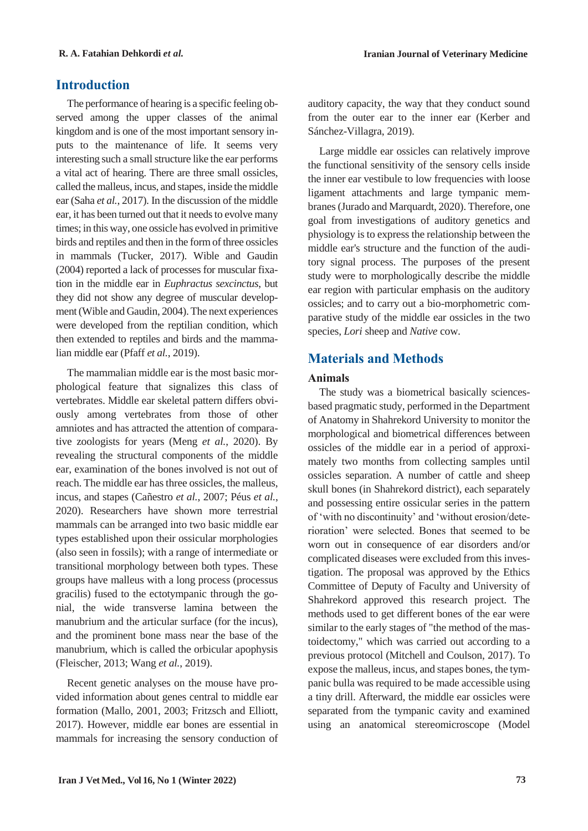# **Introduction**

The performance of hearing is a specific feeling observed among the upper classes of the animal kingdom and is one of the most important sensory inputs to the maintenance of life. It seems very interesting such a small structure like the ear performs a vital act of hearing. There are three small ossicles, called the malleus, incus, and stapes, inside the middle ear (Saha *et al.*, 2017). In the discussion of the middle ear, it has been turned out that it needs to evolve many times; in this way, one ossicle has evolved in primitive birds and reptiles and then in the form of three ossicles in mammals (Tucker, 2017). Wible and Gaudin (2004) reported a lack of processes for muscular fixation in the middle ear in *Euphractus sexcinctus*, but they did not show any degree of muscular development (Wible and Gaudin, 2004). The next experiences were developed from the reptilian condition, which then extended to reptiles and birds and the mammalian middle ear (Pfaff *et al.*, 2019).

The mammalian middle ear is the most basic morphological feature that signalizes this class of vertebrates. Middle ear skeletal pattern differs obviously among vertebrates from those of other amniotes and has attracted the attention of comparative zoologists for years (Meng *et al.*, 2020). By revealing the structural components of the middle ear, examination of the bones involved is not out of reach. The middle ear has three ossicles, the malleus, incus, and stapes (Cañestro *et al.*, 2007; Péus *et al.*, 2020). Researchers have shown more terrestrial mammals can be arranged into two basic middle ear types established upon their ossicular morphologies (also seen in fossils); with a range of intermediate or transitional morphology between both types. These groups have malleus with a long process (processus gracilis) fused to the ectotympanic through the gonial, the wide transverse lamina between the manubrium and the articular surface (for the incus), and the prominent bone mass near the base of the manubrium, which is called the orbicular apophysis (Fleischer, 2013; Wang *et al.*, 2019).

Recent genetic analyses on the mouse have provided information about genes central to middle ear formation (Mallo, 2001, 2003; Fritzsch and Elliott, 2017). However, middle ear bones are essential in mammals for increasing the sensory conduction of auditory capacity, the way that they conduct sound from the outer ear to the inner ear (Kerber and Sánchez-Villagra, 2019).

Large middle ear ossicles can relatively improve the functional sensitivity of the sensory cells inside the inner ear vestibule to low frequencies with loose ligament attachments and large tympanic membranes (Jurado and Marquardt, 2020). Therefore, one goal from investigations of auditory genetics and physiology is to express the relationship between the middle ear's structure and the function of the auditory signal process. The purposes of the present study were to morphologically describe the middle ear region with particular emphasis on the auditory ossicles; and to carry out a bio-morphometric comparative study of the middle ear ossicles in the two species, *Lori* sheep and *Native* cow.

# **Materials and Methods**

### **Animals**

The study was a biometrical basically sciencesbased pragmatic study, performed in the Department of Anatomy in Shahrekord University to monitor the morphological and biometrical differences between ossicles of the middle ear in a period of approximately two months from collecting samples until ossicles separation. A number of cattle and sheep skull bones (in Shahrekord district), each separately and possessing entire ossicular series in the pattern of 'with no discontinuity' and 'without erosion/deterioration' were selected. Bones that seemed to be worn out in consequence of ear disorders and/or complicated diseases were excluded from this investigation. The proposal was approved by the Ethics Committee of Deputy of Faculty and University of Shahrekord approved this research project. The methods used to get different bones of the ear were similar to the early stages of "the method of the mastoidectomy," which was carried out according to a previous protocol (Mitchell and Coulson, 2017). To expose the malleus, incus, and stapes bones, the tympanic bulla was required to be made accessible using a tiny drill. Afterward, the middle ear ossicles were separated from the tympanic cavity and examined using an anatomical stereomicroscope (Model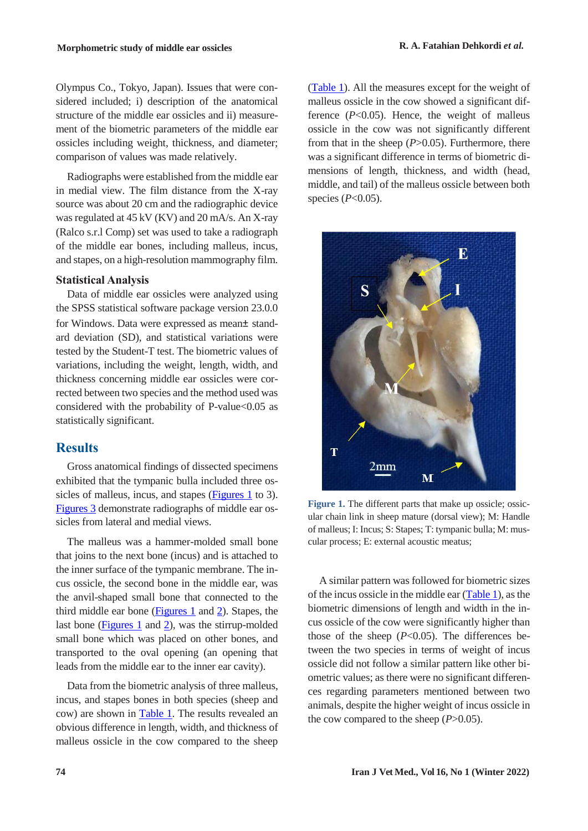Olympus Co., Tokyo, Japan). Issues that were considered included; i) description of the anatomical structure of the middle ear ossicles and ii) measurement of the biometric parameters of the middle ear ossicles including weight, thickness, and diameter; comparison of values was made relatively.

Radiographs were established from the middle ear in medial view. The film distance from the X-ray source was about 20 cm and the radiographic device was regulated at 45 kV (KV) and 20 mA/s. An X-ray (Ralco s.r.l Comp) set was used to take a radiograph of the middle ear bones, including malleus, incus, and stapes, on a high-resolution mammography film.

### **Statistical Analysis**

Data of middle ear ossicles were analyzed using the SPSS statistical software package version 23.0.0 for Windows. Data were expressed as mean± standard deviation (SD), and statistical variations were tested by the Student-T test. The biometric values of variations, including the weight, length, width, and thickness concerning middle ear ossicles were corrected between two species and the method used was considered with the probability of P-value<0.05 as statistically significant.

### **Results**

Gross anatomical findings of dissected specimens exhibited that the tympanic bulla included three ossicles of malleus, incus, and stapes [\(Figures 1](#page-2-0) to 3). [Figures 3](#page-3-0) demonstrate radiographs of middle ear ossicles from lateral and medial views.

The malleus was a hammer-molded small bone that joins to the next bone (incus) and is attached to the inner surface of the tympanic membrane. The incus ossicle, the second bone in the middle ear, was the anvil-shaped small bone that connected to the third middle ear bone [\(Figures 1](#page-2-0) and 2). Stapes, the last bone ( $Figures 1$  and 2), was the stirrup-molded</u> small bone which was placed on other bones, and transported to the oval opening (an opening that leads from the middle ear to the inner ear cavity).

Data from the biometric analysis of three malleus, incus, and stapes bones in both species (sheep and cow) are shown in [Table 1.](#page-4-0) The results revealed an obvious difference in length, width, and thickness of malleus ossicle in the cow compared to the sheep

[\(Table 1\)](#page-4-0). All the measures except for the weight of malleus ossicle in the cow showed a significant difference (*P*<0.05). Hence, the weight of malleus ossicle in the cow was not significantly different from that in the sheep (*P*>0.05). Furthermore, there was a significant difference in terms of biometric dimensions of length, thickness, and width (head, middle, and tail) of the malleus ossicle between both species (*P*<0.05).



<span id="page-2-0"></span>Figure 1. The different parts that make up ossicle; ossicular chain link in sheep mature (dorsal view); M: Handle of malleus; I: Incus; S: Stapes; T: tympanic bulla; M: muscular process; E: external acoustic meatus;

A similar pattern was followed for biometric sizes of the incus ossicle in the middle ear [\(Table 1\)](#page-4-0), as the biometric dimensions of length and width in the incus ossicle of the cow were significantly higher than those of the sheep (*P*<0.05). The differences between the two species in terms of weight of incus ossicle did not follow a similar pattern like other biometric values; as there were no significant differences regarding parameters mentioned between two animals, despite the higher weight of incus ossicle in the cow compared to the sheep (*P*>0.05).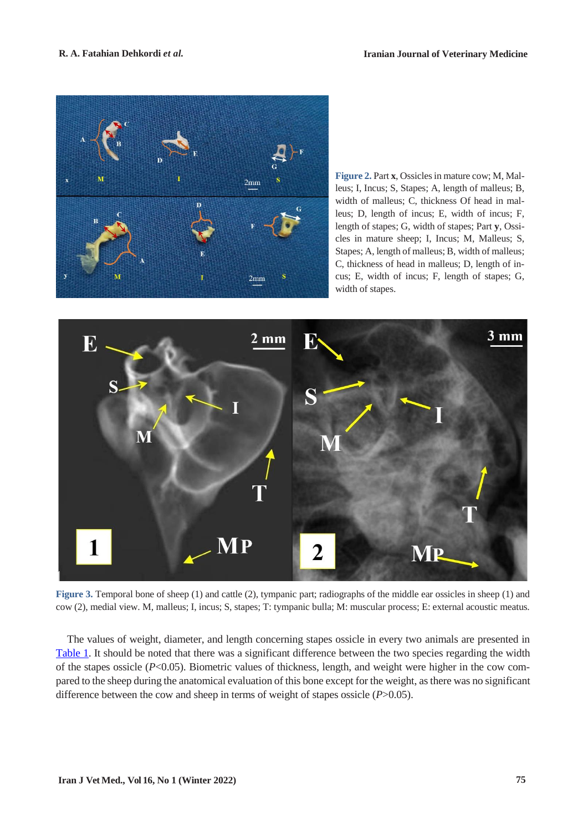

**Figure 2.** Part **x**, Ossicles in mature cow; M, Malleus; I, Incus; S, Stapes; A, length of malleus; B, width of malleus; C, thickness Of head in malleus; D, length of incus; E, width of incus; F, length of stapes; G, width of stapes; Part **y**, Ossicles in mature sheep; I, Incus; M, Malleus; S, Stapes; A, length of malleus; B, width of malleus; C, thickness of head in malleus; D, length of incus; E, width of incus; F, length of stapes; G, width of stapes.



<span id="page-3-0"></span>Figure 3. Temporal bone of sheep (1) and cattle (2), tympanic part; radiographs of the middle ear ossicles in sheep (1) and cow (2), medial view. M, malleus; I, incus; S, stapes; T: tympanic bulla; M: muscular process; E: external acoustic meatus.

The values of weight, diameter, and length concerning stapes ossicle in every two animals are presented in [Table 1.](#page-4-0) It should be noted that there was a significant difference between the two species regarding the width of the stapes ossicle (*P*<0.05). Biometric values of thickness, length, and weight were higher in the cow compared to the sheep during the anatomical evaluation of this bone except for the weight, as there was no significant difference between the cow and sheep in terms of weight of stapes ossicle (*P*>0.05).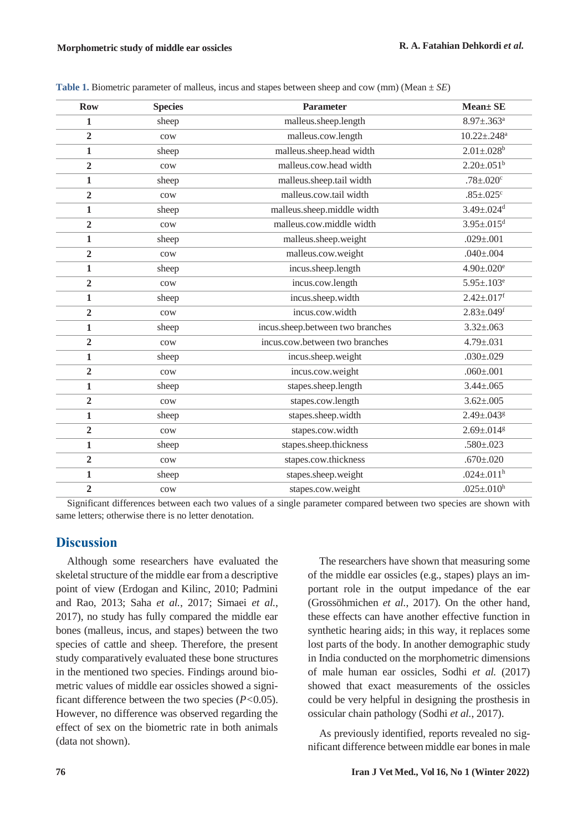| <b>Row</b>     | <b>Species</b>  | Parameter                        | Mean± SE                      |
|----------------|-----------------|----------------------------------|-------------------------------|
| $\mathbf{1}$   | sheep           | malleus.sheep.length             | $8.97 \pm .363$ <sup>a</sup>  |
| $\overline{2}$ | cow             | malleus.cow.length               | $10.22 \pm .248$ <sup>a</sup> |
| $\mathbf{1}$   | sheep           | malleus.sheep.head width         | $2.01 \pm .028$ <sup>b</sup>  |
| $\overline{2}$ | $_{\text{cow}}$ | malleus.cow.head width           | $2.20 \pm .051$ <sup>b</sup>  |
| $\mathbf{1}$   | sheep           | malleus.sheep.tail width         | $.78 \pm .020$ <sup>c</sup>   |
| $\overline{2}$ | cow             | malleus.cow.tail width           | $.85 \pm .025$ <sup>c</sup>   |
| $\mathbf{1}$   | sheep           | malleus.sheep.middle width       | $3.49 \pm .024$ <sup>d</sup>  |
| $\overline{2}$ | cow             | malleus.cow.middle width         | $3.95 \pm .015$ <sup>d</sup>  |
| $\mathbf{1}$   | sheep           | malleus.sheep.weight             | $.029 \pm .001$               |
| $\overline{2}$ | cow             | malleus.cow.weight               | $.040 \pm .004$               |
| $\mathbf{1}$   | sheep           | incus.sheep.length               | $4.90 \pm 0.020$ <sup>e</sup> |
| $\overline{2}$ | $_{\text{cow}}$ | incus.cow.length                 | $5.95 \pm 0.103$ <sup>e</sup> |
| $\mathbf{1}$   | sheep           | incus.sheep.width                | $2.42 \pm .017$ <sup>f</sup>  |
| $\overline{2}$ | cow             | incus.cow.width                  | $2.83 \pm .049$ <sup>f</sup>  |
| $\mathbf{1}$   | sheep           | incus.sheep.between two branches | $3.32 \pm 0.063$              |
| $\overline{2}$ | cow             | incus.cow.between two branches   | $4.79 \pm .031$               |
| $\mathbf{1}$   | sheep           | incus.sheep.weight               | $.030 \pm .029$               |
| $\overline{2}$ | cow             | incus.cow.weight                 | $.060 \pm .001$               |
| $\mathbf{1}$   | sheep           | stapes.sheep.length              | $3.44 \pm 0.065$              |
| $\overline{2}$ | cow             | stapes.cow.length                | $3.62 \pm 0.005$              |
| $\mathbf{1}$   | sheep           | stapes.sheep.width               | $2.49 \pm 0.043$ <sup>g</sup> |
| $\overline{2}$ | cow             | stapes.cow.width                 | $2.69 \pm .014$ <sup>g</sup>  |
| $\mathbf{1}$   | sheep           | stapes.sheep.thickness           | $.580 \pm 0.023$              |
| $\overline{2}$ | cow             | stapes.cow.thickness             | $.670{\pm}.020$               |
| $\mathbf{1}$   | sheep           | stapes.sheep.weight              | .024±.011 <sup>h</sup>        |
| $\overline{2}$ | cow             | stapes.cow.weight                | .025±.010 <sup>h</sup>        |

<span id="page-4-0"></span>**Table 1.** Biometric parameter of malleus, incus and stapes between sheep and cow (mm) (Mean ± *SE*)

Significant differences between each two values of a single parameter compared between two species are shown with same letters; otherwise there is no letter denotation.

## **Discussion**

Although some researchers have evaluated the skeletal structure of the middle ear from a descriptive point of view (Erdogan and Kilinc, 2010; Padmini and Rao, 2013; Saha *et al.*, 2017; Simaei *et al.*, 2017), no study has fully compared the middle ear bones (malleus, incus, and stapes) between the two species of cattle and sheep. Therefore, the present study comparatively evaluated these bone structures in the mentioned two species. Findings around biometric values of middle ear ossicles showed a significant difference between the two species (*P<*0.05). However, no difference was observed regarding the effect of sex on the biometric rate in both animals (data not shown).

The researchers have shown that measuring some of the middle ear ossicles (e.g., stapes) plays an important role in the output impedance of the ear (Grossöhmichen *et al.*, 2017). On the other hand, these effects can have another effective function in synthetic hearing aids; in this way, it replaces some lost parts of the body. In another demographic study in India conducted on the morphometric dimensions of male human ear ossicles, Sodhi *et al.* (2017) showed that exact measurements of the ossicles could be very helpful in designing the prosthesis in ossicular chain pathology (Sodhi *et al.*, 2017).

As previously identified, reports revealed no significant difference between middle ear bones in male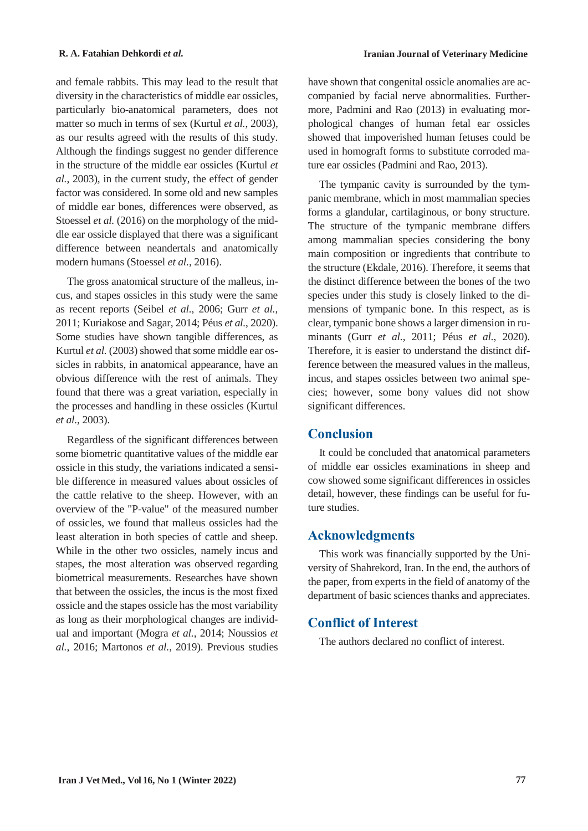and female rabbits. This may lead to the result that diversity in the characteristics of middle ear ossicles, particularly bio-anatomical parameters, does not matter so much in terms of sex (Kurtul *et al.*, 2003), as our results agreed with the results of this study. Although the findings suggest no gender difference in the structure of the middle ear ossicles (Kurtul *et al.*, 2003), in the current study, the effect of gender factor was considered. In some old and new samples of middle ear bones, differences were observed, as Stoessel *et al.* (2016) on the morphology of the middle ear ossicle displayed that there was a significant difference between neandertals and anatomically modern humans (Stoessel *et al.*, 2016).

The gross anatomical structure of the malleus, incus, and stapes ossicles in this study were the same as recent reports (Seibel *et al.*, 2006; Gurr *et al.*, 2011; Kuriakose and Sagar, 2014; Péus *et al.*, 2020). Some studies have shown tangible differences, as Kurtul *et al.* (2003) showed that some middle ear ossicles in rabbits, in anatomical appearance, have an obvious difference with the rest of animals. They found that there was a great variation, especially in the processes and handling in these ossicles (Kurtul *et al.*, 2003).

Regardless of the significant differences between some biometric quantitative values of the middle ear ossicle in this study, the variations indicated a sensible difference in measured values about ossicles of the cattle relative to the sheep. However, with an overview of the "P*-*value" of the measured number of ossicles, we found that malleus ossicles had the least alteration in both species of cattle and sheep. While in the other two ossicles, namely incus and stapes, the most alteration was observed regarding biometrical measurements. Researches have shown that between the ossicles, the incus is the most fixed ossicle and the stapes ossicle has the most variability as long as their morphological changes are individual and important (Mogra *et al.*, 2014; Noussios *et al.*, 2016; Martonos *et al.*, 2019). Previous studies

have shown that congenital ossicle anomalies are accompanied by facial nerve abnormalities. Furthermore, Padmini and Rao (2013) in evaluating morphological changes of human fetal ear ossicles showed that impoverished human fetuses could be used in homograft forms to substitute corroded mature ear ossicles (Padmini and Rao, 2013).

The tympanic cavity is surrounded by the tympanic membrane, which in most mammalian species forms a glandular, cartilaginous, or bony structure. The structure of the tympanic membrane differs among mammalian species considering the bony main composition or ingredients that contribute to the structure (Ekdale, 2016). Therefore, it seems that the distinct difference between the bones of the two species under this study is closely linked to the dimensions of tympanic bone. In this respect, as is clear, tympanic bone shows a larger dimension in ruminants (Gurr *et al.*, 2011; Péus *et al.*, 2020). Therefore, it is easier to understand the distinct difference between the measured values in the malleus, incus, and stapes ossicles between two animal species; however, some bony values did not show significant differences.

## **Conclusion**

It could be concluded that anatomical parameters of middle ear ossicles examinations in sheep and cow showed some significant differences in ossicles detail, however, these findings can be useful for future studies.

### **Acknowledgments**

This work was financially supported by the University of Shahrekord, Iran. In the end, the authors of the paper, from experts in the field of anatomy of the department of basic sciences thanks and appreciates.

# **Conflict of Interest**

The authors declared no conflict of interest.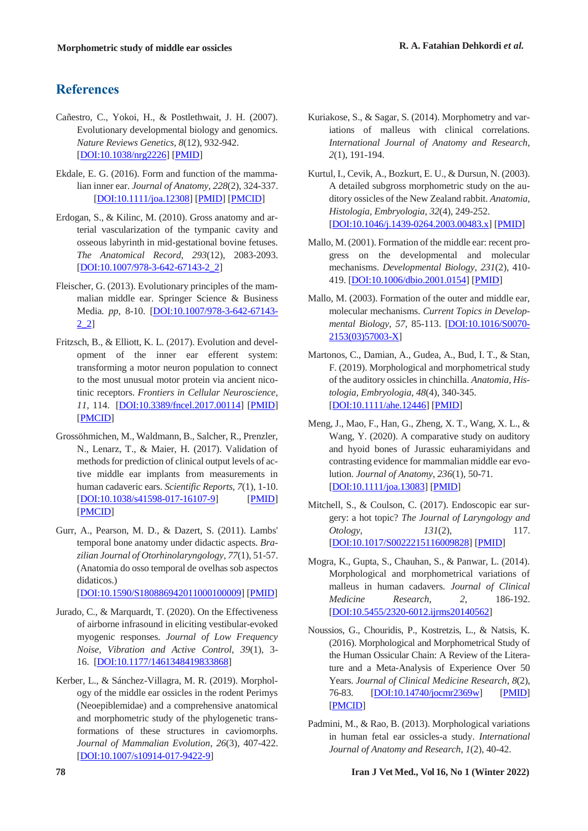## **References**

- Cañestro, C., Yokoi, H., & Postlethwait, J. H. (2007). Evolutionary developmental biology and genomics. *Nature Reviews Genetics*, *8*(12), 932-942. [DOI:10.1038/nrg2226] [PMID]
- Ekdale, E. G. (2016). Form and function of the mammalian inner ear. *Journal of Anatomy*, *228*(2), 324-337. [DOI:10.1111/joa.12308] [PMID] [PMCID]
- Erdogan, S., & Kilinc, M. (2010). Gross anatomy and arterial vascularization of the tympanic cavity and osseous labyrinth in mid-gestational bovine fetuses. *The Anatomical Record*, *293*(12), 2083-2093. [DOI:10.1007/978-3-642-67143-2\_2]
- Fleischer, G. (2013). Evolutionary principles of the mammalian middle ear. Springer Science & Business Media. *pp*, 8-10. [DOI:10.1007/978-3-642-67143- 2\_2]
- Fritzsch, B., & Elliott, K. L. (2017). Evolution and development of the inner ear efferent system: transforming a motor neuron population to connect to the most unusual motor protein via ancient nicotinic receptors. *Frontiers in Cellular Neuroscience*, *11*, 114. [DOI:10.3389/fncel.2017.00114] [PMID] [PMCID]
- Grossöhmichen, M., Waldmann, B., Salcher, R., Prenzler, N., Lenarz, T., & Maier, H. (2017). Validation of methods for prediction of clinical output levels of active middle ear implants from measurements in human cadaveric ears. *Scientific Reports*, *7*(1), 1-10. [DOI:10.1038/s41598-017-16107-9] [PMID] [PMCID]
- Gurr, A., Pearson, M. D., & Dazert, S. (2011). Lambs' temporal bone anatomy under didactic aspects. *Brazilian Journal of Otorhinolaryngology*, *77*(1), 51-57. (Anatomia do osso temporal de ovelhas sob aspectos didaticos.)

[DOI:10.1590/S180886942011000100009] [PMID]

- Jurado, C., & Marquardt, T. (2020). On the Effectiveness of airborne infrasound in eliciting vestibular-evoked myogenic responses. *Journal of Low Frequency Noise, Vibration and Active Control*, *39*(1), 3- 16. [DOI:10.1177/1461348419833868]
- Kerber, L., & Sánchez-Villagra, M. R. (2019). Morphology of the middle ear ossicles in the rodent Perimys (Neoepiblemidae) and a comprehensive anatomical and morphometric study of the phylogenetic transformations of these structures in caviomorphs. *Journal of Mammalian Evolution*, *26*(3), 407-422. [DOI:10.1007/s10914-017-9422-9]
- Kuriakose, S., & Sagar, S. (2014). Morphometry and variations of malleus with clinical correlations. *International Journal of Anatomy and Research*, *2*(1), 191-194.
- Kurtul, I., Cevik, A., Bozkurt, E. U., & Dursun, N. (2003). A detailed subgross morphometric study on the auditory ossicles of the New Zealand rabbit. *Anatomia, Histologia, Embryologia*, *32*(4), 249-252. [DOI:10.1046/j.1439-0264.2003.00483.x] [PMID]
- Mallo, M. (2001). Formation of the middle ear: recent progress on the developmental and molecular mechanisms. *Developmental Biology*, *231*(2), 410- 419. [DOI:10.1006/dbio.2001.0154] [PMID]
- Mallo, M. (2003). Formation of the outer and middle ear, molecular mechanisms. *Current Topics in Developmental Biology*, *57*, 85-113. [DOI:10.1016/S0070- 2153(03)57003-X]
- Martonos, C., Damian, A., Gudea, A., Bud, I. T., & Stan, F. (2019). Morphological and morphometrical study of the auditory ossicles in chinchilla. *Anatomia, Histologia, Embryologia*, *48*(4), 340-345. [DOI:10.1111/ahe.12446] [PMID]
- Meng, J., Mao, F., Han, G., Zheng, X. T., Wang, X. L., & Wang, Y. (2020). A comparative study on auditory and hyoid bones of Jurassic euharamiyidans and contrasting evidence for mammalian middle ear evolution. *Journal of Anatomy*, *236*(1), 50-71. [DOI:10.1111/joa.13083] [PMID]
- Mitchell, S., & Coulson, C. (2017). Endoscopic ear surgery: a hot topic? *The Journal of Laryngology and Otology*, 131(2), 117. [DOI:10.1017/S0022215116009828] [PMID]
- Mogra, K., Gupta, S., Chauhan, S., & Panwar, L. (2014). Morphological and morphometrical variations of malleus in human cadavers. *Journal of Clinical Medicine Research*, *2*, 186-192. [DOI:10.5455/2320-6012.ijrms20140562]
- Noussios, G., Chouridis, P., Kostretzis, L., & Natsis, K. (2016). Morphological and Morphometrical Study of the Human Ossicular Chain: A Review of the Literature and a Meta-Analysis of Experience Over 50 Years. *Journal of Clinical Medicine Research*, *8*(2), 76-83. [DOI:10.14740/jocmr2369w] [PMID] [PMCID]
- Padmini, M., & Rao, B. (2013). Morphological variations in human fetal ear ossicles-a study. *International Journal of Anatomy and Research*, *1*(2), 40-42.

**78 Iran J Vet Med., Vol 16, No 1 (Winter 2022)**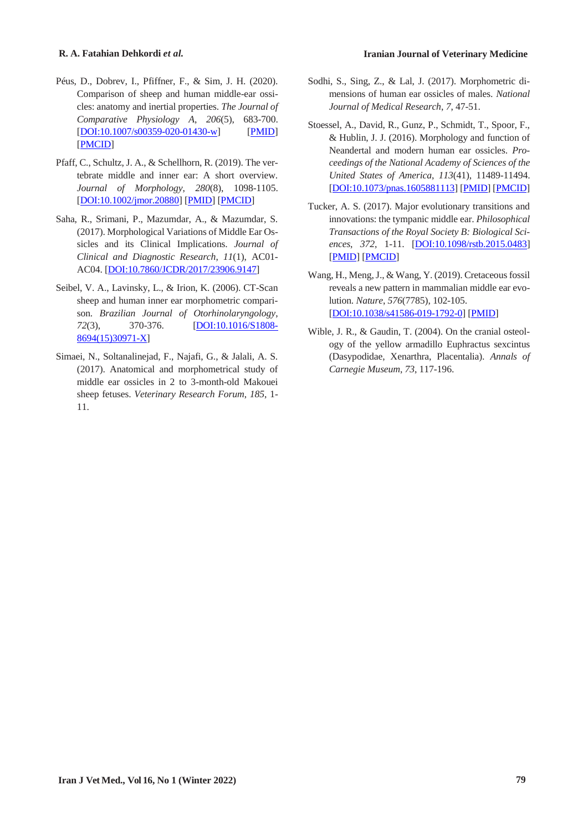- Péus, D., Dobrev, I., Pfiffner, F., & Sim, J. H. (2020). Comparison of sheep and human middle-ear ossicles: anatomy and inertial properties. *The Journal of Comparative Physiology A*, *206*(5), 683-700. [DOI:10.1007/s00359-020-01430-w] [PMID] [PMCID]
- Pfaff, C., Schultz, J. A., & Schellhorn, R. (2019). The vertebrate middle and inner ear: A short overview. *Journal of Morphology*, *280*(8), 1098-1105. [DOI:10.1002/jmor.20880] [PMID] [PMCID]
- Saha, R., Srimani, P., Mazumdar, A., & Mazumdar, S. (2017). Morphological Variations of Middle Ear Ossicles and its Clinical Implications. *Journal of Clinical and Diagnostic Research*, *11*(1), AC01- AC04. [DOI:10.7860/JCDR/2017/23906.9147]
- Seibel, V. A., Lavinsky, L., & Irion, K. (2006). CT-Scan sheep and human inner ear morphometric comparison. *Brazilian Journal of Otorhinolaryngology*, *72*(3), 370-376. [DOI:10.1016/S1808- 8694(15)30971-X]
- Simaei, N., Soltanalinejad, F., Najafi, G., & Jalali, A. S. (2017). Anatomical and morphometrical study of middle ear ossicles in 2 to 3-month-old Makouei sheep fetuses. *Veterinary Research Forum*, *185*, 1- 11.
- Sodhi, S., Sing, Z., & Lal, J. (2017). Morphometric dimensions of human ear ossicles of males. *National Journal of Medical Research*, *7*, 47-51.
- Stoessel, A., David, R., Gunz, P., Schmidt, T., Spoor, F., & Hublin, J. J. (2016). Morphology and function of Neandertal and modern human ear ossicles. *Proceedings of the National Academy of Sciences of the United States of America*, *113*(41), 11489-11494. [DOI:10.1073/pnas.1605881113] [PMID] [PMCID]
- Tucker, A. S. (2017). Major evolutionary transitions and innovations: the tympanic middle ear. *Philosophical Transactions of the Royal Society B: Biological Sciences*, *372*, 1-11. [DOI:10.1098/rstb.2015.0483] [PMID] [PMCID]
- Wang, H., Meng, J., & Wang, Y. (2019). Cretaceous fossil reveals a new pattern in mammalian middle ear evolution. *Nature*, *576*(7785), 102-105. [DOI:10.1038/s41586-019-1792-0] [PMID]
- Wible, J. R., & Gaudin, T. (2004). On the cranial osteology of the yellow armadillo Euphractus sexcintus (Dasypodidae, Xenarthra, Placentalia). *Annals of Carnegie Museum*, *73*, 117-196.